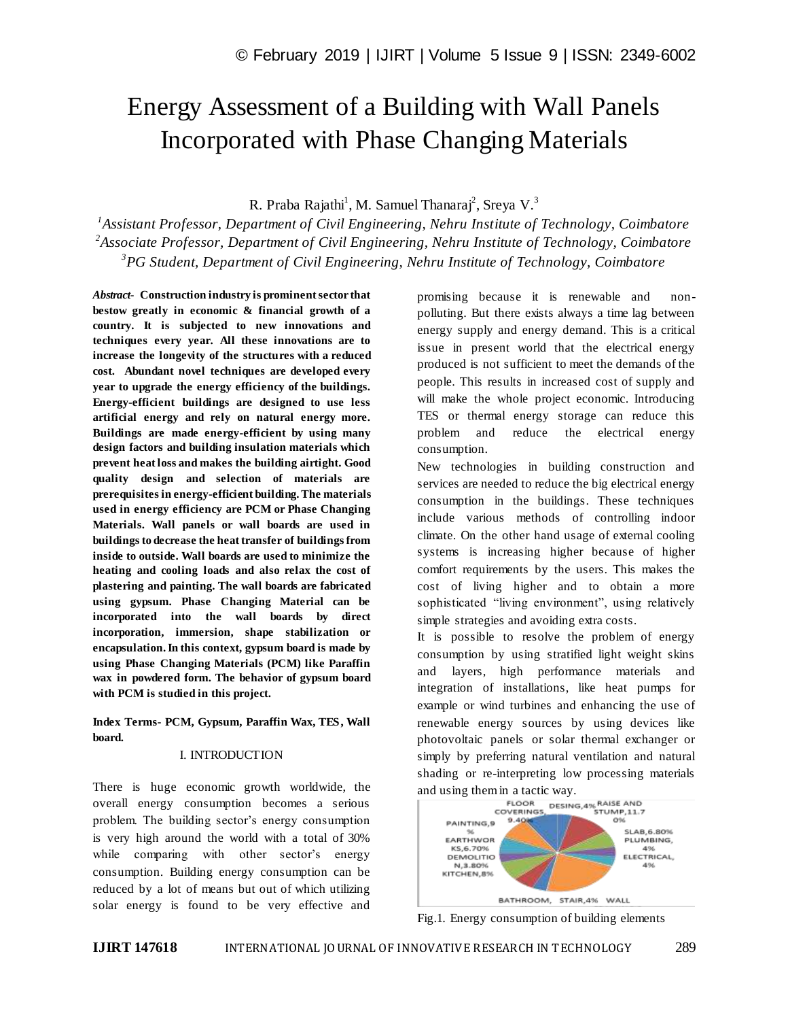# Energy Assessment of a Building with Wall Panels Incorporated with Phase Changing Materials

R. Praba Rajathi<sup>1</sup>, M. Samuel Thanaraj<sup>2</sup>, Sreya V.<sup>3</sup>

*1 Assistant Professor, Department of Civil Engineering, Nehru Institute of Technology, Coimbatore 2 Associate Professor, Department of Civil Engineering, Nehru Institute of Technology, Coimbatore 3 PG Student, Department of Civil Engineering, Nehru Institute of Technology, Coimbatore*

*Abstract*- **Construction industry is prominent sector that bestow greatly in economic & financial growth of a country. It is subjected to new innovations and techniques every year. All these innovations are to increase the longevity of the structures with a reduced cost. Abundant novel techniques are developed every year to upgrade the energy efficiency of the buildings. Energy-efficient buildings are designed to use less artificial energy and rely on natural energy more. Buildings are made energy-efficient by using many design factors and building insulation materials which prevent heat loss and makes the building airtight. Good quality design and selection of materials are prerequisites in energy-efficient building. The materials used in energy efficiency are PCM or Phase Changing Materials. Wall panels or wall boards are used in buildings to decrease the heat transfer of buildings from inside to outside. Wall boards are used to minimize the heating and cooling loads and also relax the cost of plastering and painting. The wall boards are fabricated using gypsum. Phase Changing Material can be incorporated into the wall boards by direct incorporation, immersion, shape stabilization or encapsulation. In this context, gypsum board is made by using Phase Changing Materials (PCM) like Paraffin wax in powdered form. The behavior of gypsum board with PCM is studied in this project.**

**Index Terms- PCM, Gypsum, Paraffin Wax, TES, Wall board.**

#### I. INTRODUCTION

There is huge economic growth worldwide, the overall energy consumption becomes a serious problem. The building sector's energy consumption is very high around the world with a total of 30% while comparing with other sector's energy consumption. Building energy consumption can be reduced by a lot of means but out of which utilizing solar energy is found to be very effective and

promising because it is renewable and nonpolluting. But there exists always a time lag between energy supply and energy demand. This is a critical issue in present world that the electrical energy produced is not sufficient to meet the demands of the people. This results in increased cost of supply and will make the whole project economic. Introducing TES or thermal energy storage can reduce this problem and reduce the electrical energy consumption.

New technologies in building construction and services are needed to reduce the big electrical energy consumption in the buildings. These techniques include various methods of controlling indoor climate. On the other hand usage of external cooling systems is increasing higher because of higher comfort requirements by the users. This makes the cost of living higher and to obtain a more sophisticated "living environment", using relatively simple strategies and avoiding extra costs.

It is possible to resolve the problem of energy consumption by using stratified light weight skins and layers, high performance materials and integration of installations, like heat pumps for example or wind turbines and enhancing the use of renewable energy sources by using devices like photovoltaic panels or solar thermal exchanger or simply by preferring natural ventilation and natural shading or re-interpreting low processing materials



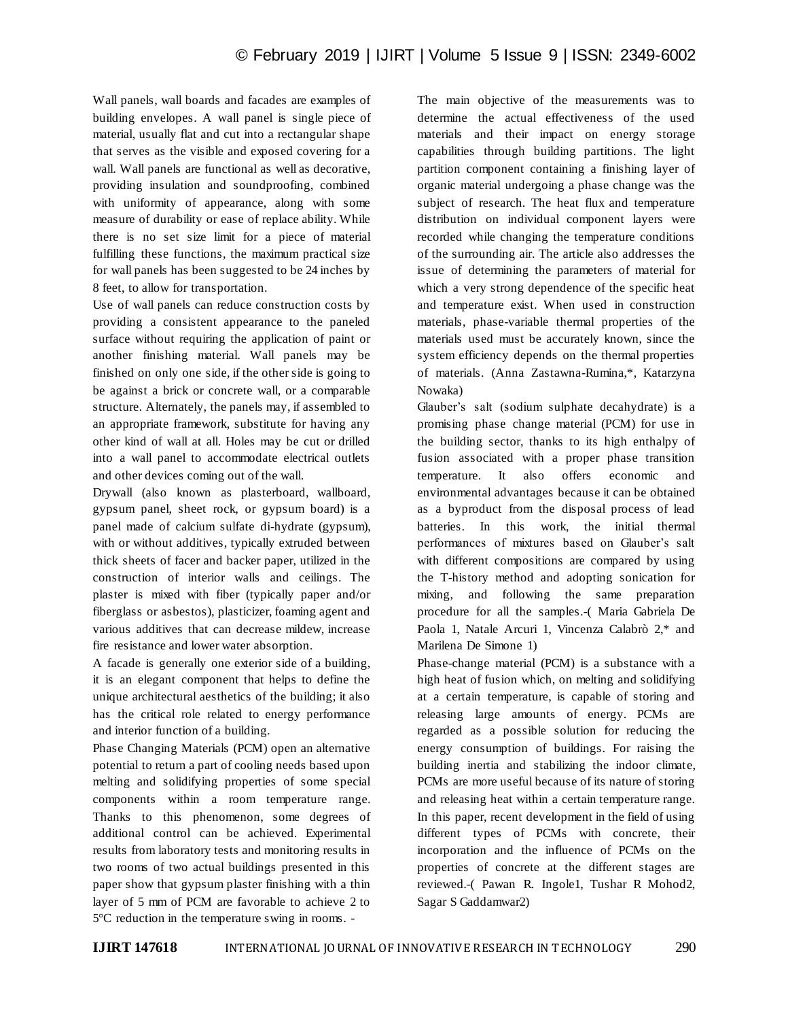Wall panels, wall boards and facades are examples of building envelopes. A wall panel is single piece of material, usually flat and cut into a rectangular shape that serves as the visible and exposed covering for a wall. Wall panels are functional as well as decorative, providing insulation and soundproofing, combined with uniformity of appearance, along with some measure of durability or ease of replace ability. While there is no set size limit for a piece of material fulfilling these functions, the maximum practical size for wall panels has been suggested to be 24 inches by 8 feet, to allow for transportation.

Use of wall panels can reduce construction costs by providing a consistent appearance to the paneled surface without requiring the application of paint or another finishing material. Wall panels may be finished on only one side, if the other side is going to be against a brick or concrete wall, or a comparable structure. Alternately, the panels may, if assembled to an appropriate framework, substitute for having any other kind of wall at all. Holes may be cut or drilled into a wall panel to accommodate electrical outlets and other devices coming out of the wall.

Drywall (also known as plasterboard, wallboard, gypsum panel, sheet rock, or gypsum board) is a panel made of calcium sulfate di-hydrate (gypsum), with or without additives, typically extruded between thick sheets of facer and backer paper, utilized in the construction of interior walls and ceilings. The plaster is mixed with fiber (typically paper and/or fiberglass or asbestos), plasticizer, foaming agent and various additives that can decrease mildew, increase fire resistance and lower water absorption.

A facade is generally one exterior side of a building, it is an elegant component that helps to define the unique architectural aesthetics of the building; it also has the critical role related to energy performance and interior function of a building.

Phase Changing Materials (PCM) open an alternative potential to return a part of cooling needs based upon melting and solidifying properties of some special components within a room temperature range. Thanks to this phenomenon, some degrees of additional control can be achieved. Experimental results from laboratory tests and monitoring results in two rooms of two actual buildings presented in this paper show that gypsum plaster finishing with a thin layer of 5 mm of PCM are favorable to achieve 2 to 5°C reduction in the temperature swing in rooms. -

The main objective of the measurements was to determine the actual effectiveness of the used materials and their impact on energy storage capabilities through building partitions. The light partition component containing a finishing layer of organic material undergoing a phase change was the subject of research. The heat flux and temperature distribution on individual component layers were recorded while changing the temperature conditions of the surrounding air. The article also addresses the issue of determining the parameters of material for which a very strong dependence of the specific heat and temperature exist. When used in construction materials, phase-variable thermal properties of the materials used must be accurately known, since the system efficiency depends on the thermal properties of materials. (Anna Zastawna-Rumina,\*, Katarzyna Nowaka)

Glauber"s salt (sodium sulphate decahydrate) is a promising phase change material (PCM) for use in the building sector, thanks to its high enthalpy of fusion associated with a proper phase transition temperature. It also offers economic and environmental advantages because it can be obtained as a byproduct from the disposal process of lead batteries. In this work, the initial thermal performances of mixtures based on Glauber"s salt with different compositions are compared by using the T-history method and adopting sonication for mixing, and following the same preparation procedure for all the samples.-( Maria Gabriela De Paola 1, Natale Arcuri 1, Vincenza Calabrò 2,\* and Marilena De Simone 1)

Phase-change material (PCM) is a substance with a high heat of fusion which, on melting and solidifying at a certain temperature, is capable of storing and releasing large amounts of energy. PCMs are regarded as a possible solution for reducing the energy consumption of buildings. For raising the building inertia and stabilizing the indoor climate, PCMs are more useful because of its nature of storing and releasing heat within a certain temperature range. In this paper, recent development in the field of using different types of PCMs with concrete, their incorporation and the influence of PCMs on the properties of concrete at the different stages are reviewed.-( Pawan R. Ingole1, Tushar R Mohod2, Sagar S Gaddamwar2)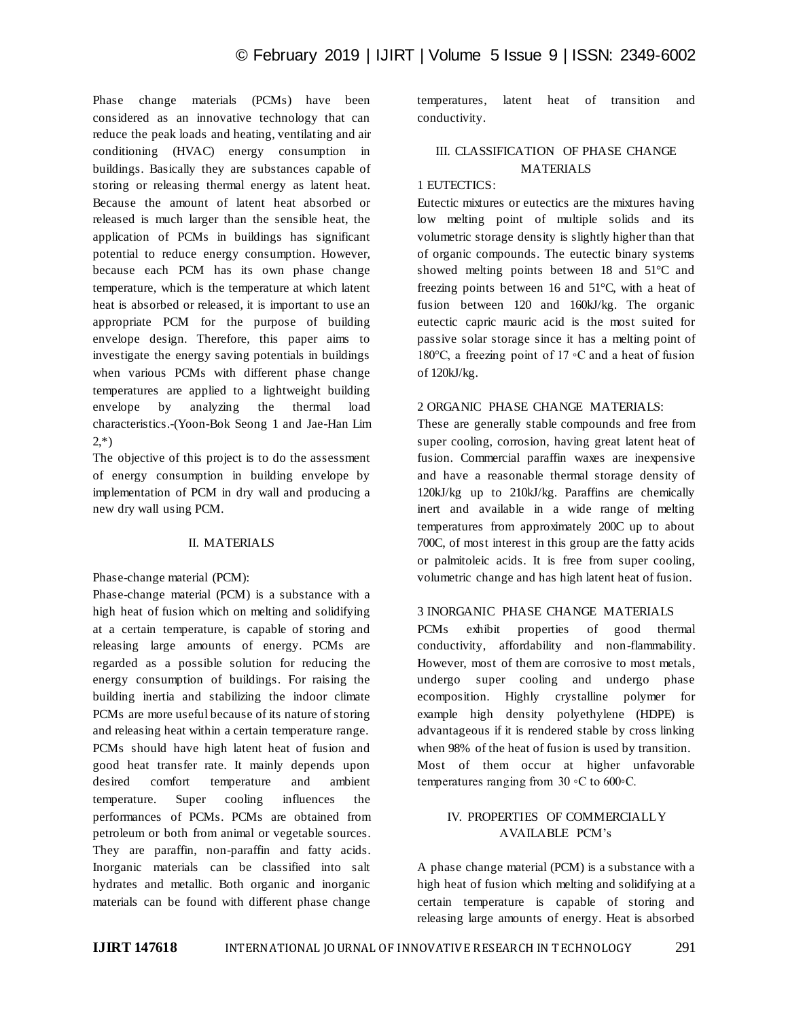Phase change materials (PCMs) have been considered as an innovative technology that can reduce the peak loads and heating, ventilating and air conditioning (HVAC) energy consumption in buildings. Basically they are substances capable of storing or releasing thermal energy as latent heat. Because the amount of latent heat absorbed or released is much larger than the sensible heat, the application of PCMs in buildings has significant potential to reduce energy consumption. However, because each PCM has its own phase change temperature, which is the temperature at which latent heat is absorbed or released, it is important to use an appropriate PCM for the purpose of building envelope design. Therefore, this paper aims to investigate the energy saving potentials in buildings when various PCMs with different phase change temperatures are applied to a lightweight building envelope by analyzing the thermal load characteristics.-(Yoon-Bok Seong 1 and Jae-Han Lim  $2,*)$ 

The objective of this project is to do the assessment of energy consumption in building envelope by implementation of PCM in dry wall and producing a new dry wall using PCM.

#### II. MATERIALS

Phase-change material (PCM):

Phase-change material (PCM) is a substance with a high heat of fusion which on melting and solidifying at a certain temperature, is capable of storing and releasing large amounts of energy. PCMs are regarded as a possible solution for reducing the energy consumption of buildings. For raising the building inertia and stabilizing the indoor climate PCMs are more useful because of its nature of storing and releasing heat within a certain temperature range. PCMs should have high latent heat of fusion and good heat transfer rate. It mainly depends upon desired comfort temperature and ambient temperature. Super cooling influences the performances of PCMs. PCMs are obtained from petroleum or both from animal or vegetable sources. They are paraffin, non-paraffin and fatty acids. Inorganic materials can be classified into salt hydrates and metallic. Both organic and inorganic materials can be found with different phase change

temperatures, latent heat of transition and conductivity.

# III. CLASSIFICATION OF PHASE CHANGE MATERIALS

# 1 EUTECTICS:

Eutectic mixtures or eutectics are the mixtures having low melting point of multiple solids and its volumetric storage density is slightly higher than that of organic compounds. The eutectic binary systems showed melting points between 18 and 51°C and freezing points between 16 and 51°C, with a heat of fusion between 120 and 160kJ/kg. The organic eutectic capric mauric acid is the most suited for passive solar storage since it has a melting point of 180°C, a freezing point of 17 ◦C and a heat of fusion of 120kJ/kg.

## 2 ORGANIC PHASE CHANGE MATERIALS:

These are generally stable compounds and free from super cooling, corrosion, having great latent heat of fusion. Commercial paraffin waxes are inexpensive and have a reasonable thermal storage density of 120kJ/kg up to 210kJ/kg. Paraffins are chemically inert and available in a wide range of melting temperatures from approximately 200C up to about 700C, of most interest in this group are the fatty acids or palmitoleic acids. It is free from super cooling, volumetric change and has high latent heat of fusion.

# 3 INORGANIC PHASE CHANGE MATERIALS

PCMs exhibit properties of good thermal conductivity, affordability and non-flammability. However, most of them are corrosive to most metals, undergo super cooling and undergo phase ecomposition. Highly crystalline polymer for example high density polyethylene (HDPE) is advantageous if it is rendered stable by cross linking when 98% of the heat of fusion is used by transition. Most of them occur at higher unfavorable temperatures ranging from 30 ◦C to 600◦C.

# IV. PROPERTIES OF COMMERCIALLY AVAILABLE PCM"s

A phase change material (PCM) is a substance with a high heat of fusion which melting and solidifying at a certain temperature is capable of storing and releasing large amounts of energy. Heat is absorbed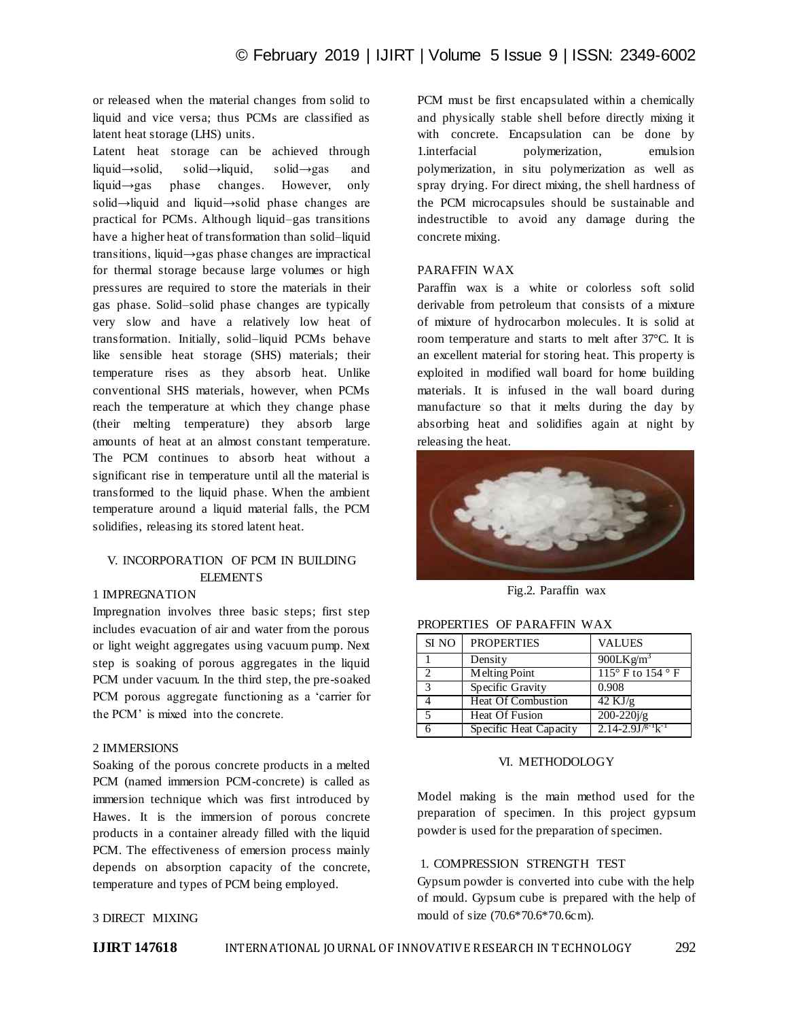or released when the material changes from solid to liquid and vice versa; thus PCMs are classified as latent heat storage (LHS) units.

Latent heat storage can be achieved through liquid→solid, solid→liquid, solid→gas and liquid→gas phase changes. However, only solid→liquid and liquid→solid phase changes are practical for PCMs. Although liquid–gas transitions have a higher heat of transformation than solid–liquid transitions, liquid→gas phase changes are impractical for thermal storage because large volumes or high pressures are required to store the materials in their gas phase. Solid–solid phase changes are typically very slow and have a relatively low heat of transformation. Initially, solid–liquid PCMs behave like sensible heat storage (SHS) materials; their temperature rises as they absorb heat. Unlike conventional SHS materials, however, when PCMs reach the temperature at which they change phase (their melting temperature) they absorb large amounts of heat at an almost constant temperature. The PCM continues to absorb heat without a significant rise in temperature until all the material is transformed to the liquid phase. When the ambient temperature around a liquid material falls, the PCM solidifies, releasing its stored latent heat.

# V. INCORPORATION OF PCM IN BUILDING **ELEMENTS**

# 1 IMPREGNATION

Impregnation involves three basic steps; first step includes evacuation of air and water from the porous or light weight aggregates using vacuum pump. Next step is soaking of porous aggregates in the liquid PCM under vacuum. In the third step, the pre-soaked PCM porous aggregate functioning as a "carrier for the PCM" is mixed into the concrete.

#### 2 IMMERSIONS

Soaking of the porous concrete products in a melted PCM (named immersion PCM-concrete) is called as immersion technique which was first introduced by Hawes. It is the immersion of porous concrete products in a container already filled with the liquid PCM. The effectiveness of emersion process mainly depends on absorption capacity of the concrete, temperature and types of PCM being employed.

## 3 DIRECT MIXING

PCM must be first encapsulated within a chemically and physically stable shell before directly mixing it with concrete. Encapsulation can be done by 1.interfacial polymerization, emulsion polymerization, in situ polymerization as well as spray drying. For direct mixing, the shell hardness of the PCM microcapsules should be sustainable and indestructible to avoid any damage during the concrete mixing.

#### PARAFFIN WAX

Paraffin wax is a white or colorless soft solid derivable from petroleum that consists of a mixture of mixture of hydrocarbon molecules. It is solid at room temperature and starts to melt after 37°C. It is an excellent material for storing heat. This property is exploited in modified wall board for home building materials. It is infused in the wall board during manufacture so that it melts during the day by absorbing heat and solidifies again at night by releasing the heat.



Fig.2. Paraffin wax

| PROPERTIES OF PARAFFIN WAX |                    |                     |  |  |  |
|----------------------------|--------------------|---------------------|--|--|--|
|                            | SI NO   PROPERTIES | <b>VALUES</b>       |  |  |  |
|                            | Density            | 900I K $\sigma/m^3$ |  |  |  |

|              | SI NO PROPERTIES          | <b>VALUES</b>                        |
|--------------|---------------------------|--------------------------------------|
|              | Density                   | 900LK $g/m3$                         |
|              | Melting Point             | 115 $\degree$ F to 154 $\degree$ F   |
| $\mathbf{R}$ | Specific Gravity          | 0.908                                |
|              | <b>Heat Of Combustion</b> | $42 \text{ KJ/g}$                    |
|              | <b>Heat Of Fusion</b>     | $200 - 220j/g$                       |
|              | Specific Heat Capacity    | $2.14 - 2.9J/{}^{g-1}k$ <sup>1</sup> |

#### VI. METHODOLOGY

Model making is the main method used for the preparation of specimen. In this project gypsum powder is used for the preparation of specimen.

### 1. COMPRESSION STRENGTH TEST

Gypsum powder is converted into cube with the help of mould. Gypsum cube is prepared with the help of mould of size (70.6\*70.6\*70.6cm).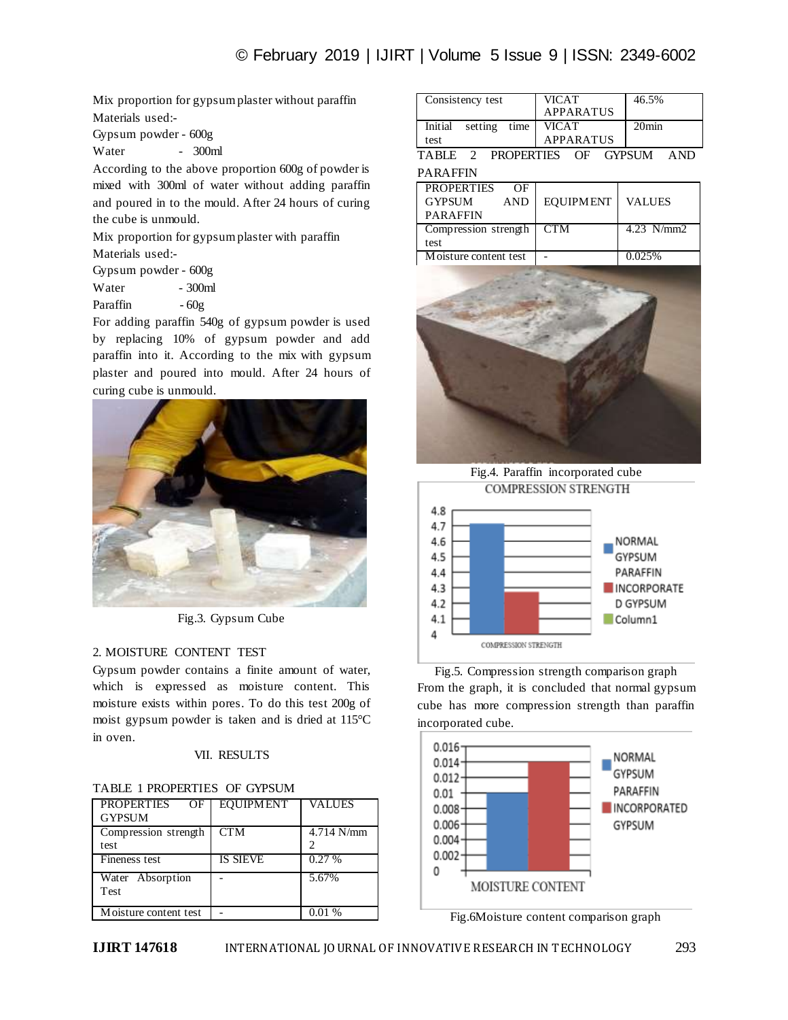Mix proportion for gypsum plaster without paraffin Materials used:-

Gypsum powder - 600g

Water - 300ml

According to the above proportion 600g of powder is mixed with 300ml of water without adding paraffin and poured in to the mould. After 24 hours of curing the cube is unmould.

Mix proportion for gypsum plaster with paraffin

Materials used:-

|          | Gypsum powder - 600g |
|----------|----------------------|
| Water    | - 300ml              |
| Paraffin | $-60g$               |

For adding paraffin 540g of gypsum powder is used by replacing 10% of gypsum powder and add paraffin into it. According to the mix with gypsum plaster and poured into mould. After 24 hours of curing cube is unmould.



Fig.3. Gypsum Cube

# 2. MOISTURE CONTENT TEST

Gypsum powder contains a finite amount of water, which is expressed as moisture content. This moisture exists within pores. To do this test 200g of moist gypsum powder is taken and is dried at 115°C in oven.

# VII. RESULTS

| PROPERTIES OF         | <b>EQUIPMENT</b> | <b>VALUES</b> |
|-----------------------|------------------|---------------|
| <b>GYPSUM</b>         |                  |               |
| Compression strength  | <b>CTM</b>       | $4.714$ N/mm  |
| test                  |                  |               |
| Fineness test         | <b>IS SIEVE</b>  | 0.27%         |
| Water Absorption      |                  | 5.67%         |
| <b>Test</b>           |                  |               |
| Moisture content test |                  | 0.01%         |

| Consistency test             |  |              | <b>VICAT</b> | <b>APPARATUS</b> | 46.5%             |      |
|------------------------------|--|--------------|--------------|------------------|-------------------|------|
| Initial                      |  | setting time | <b>VICAT</b> |                  | 20 <sub>min</sub> |      |
| test                         |  |              |              | <b>APPARATUS</b> |                   |      |
| TABLE 2 PROPERTIES OF GYPSUM |  |              |              |                  |                   | AND. |

# PARAFFIN

| <b>PROPERTIES</b>     | OF         |                  |               |
|-----------------------|------------|------------------|---------------|
| <b>GYPSUM</b>         | <b>AND</b> | <b>EQUIPMENT</b> | <b>VALUES</b> |
| <b>PARAFFIN</b>       |            |                  |               |
| Compression strength  |            | <b>CTM</b>       | 4.23 $N/mm2$  |
| test                  |            |                  |               |
| Moisture content test |            |                  | 0.025%        |



Fig.4. Paraffin incorporated cube **COMPRESSION STRENGTH** 



Fig.5. Compression strength comparison graph From the graph, it is concluded that normal gypsum cube has more compression strength than paraffin incorporated cube.



Fig.6Moisture content comparison graph